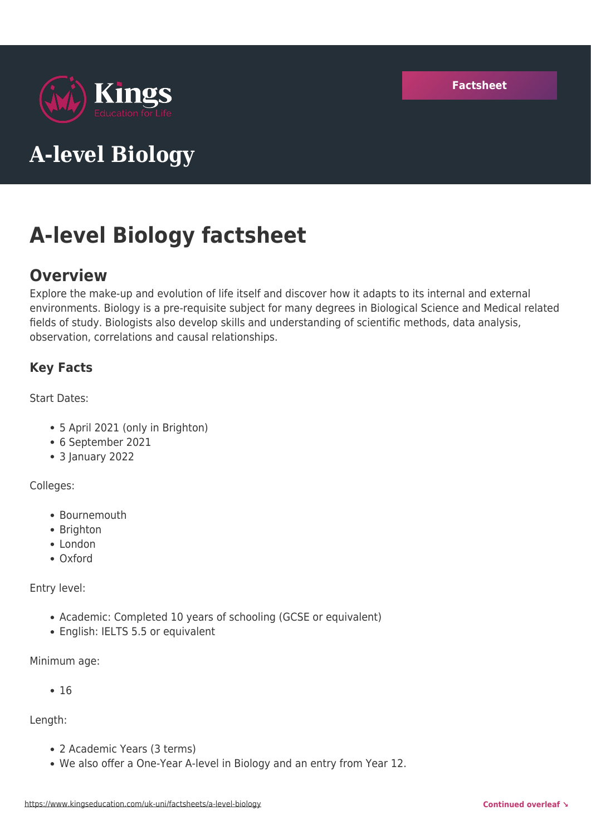

# **A-level Biology**

# **A-level Biology factsheet**

# **Overview**

Explore the make-up and evolution of life itself and discover how it adapts to its internal and external environments. Biology is a pre-requisite subject for many degrees in Biological Science and Medical related fields of study. Biologists also develop skills and understanding of scientific methods, data analysis, observation, correlations and causal relationships.

## **Key Facts**

Start Dates:

- 5 April 2021 (only in Brighton)
- 6 September 2021
- 3 January 2022

#### Colleges:

- Bournemouth
- Brighton
- London
- Oxford

Entry level:

- Academic: Completed 10 years of schooling (GCSE or equivalent)
- English: IELTS 5.5 or equivalent

Minimum age:

 $• 16$ 

Length:

- 2 Academic Years (3 terms)
- We also offer a One-Year A-level in Biology and an entry from Year 12.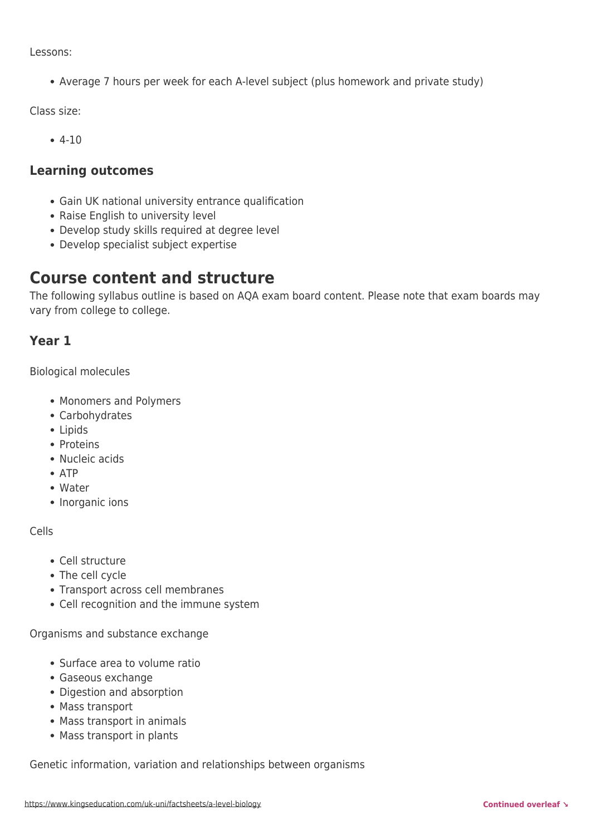Lessons:

Average 7 hours per week for each A-level subject (plus homework and private study)

Class size:

4-10

#### **Learning outcomes**

- Gain UK national university entrance qualification
- Raise English to university level
- Develop study skills required at degree level
- Develop specialist subject expertise

## **Course content and structure**

The following syllabus outline is based on AQA exam board content. Please note that exam boards may vary from college to college.

## **Year 1**

Biological molecules

- Monomers and Polymers
- Carbohydrates
- Lipids
- Proteins
- Nucleic acids
- $\bullet$  ATP
- Water
- Inorganic ions

Cells

- Cell structure
- The cell cycle
- Transport across cell membranes
- Cell recognition and the immune system

Organisms and substance exchange

- Surface area to volume ratio
- Gaseous exchange
- Digestion and absorption
- Mass transport
- Mass transport in animals
- Mass transport in plants

Genetic information, variation and relationships between organisms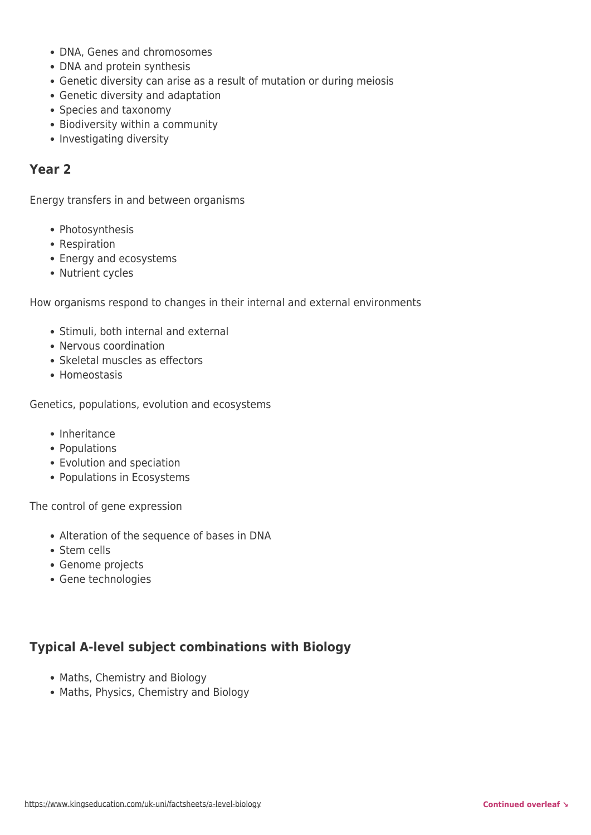- DNA, Genes and chromosomes
- DNA and protein synthesis
- Genetic diversity can arise as a result of mutation or during meiosis
- Genetic diversity and adaptation
- Species and taxonomy
- Biodiversity within a community
- Investigating diversity

#### **Year 2**

Energy transfers in and between organisms

- Photosynthesis
- Respiration
- Energy and ecosystems
- Nutrient cycles

How organisms respond to changes in their internal and external environments

- Stimuli, both internal and external
- Nervous coordination
- Skeletal muscles as effectors
- Homeostasis

Genetics, populations, evolution and ecosystems

- Inheritance
- Populations
- Evolution and speciation
- Populations in Ecosystems

The control of gene expression

- Alteration of the sequence of bases in DNA
- Stem cells
- Genome projects
- Gene technologies

## **Typical A-level subject combinations with Biology**

- Maths, Chemistry and Biology
- Maths, Physics, Chemistry and Biology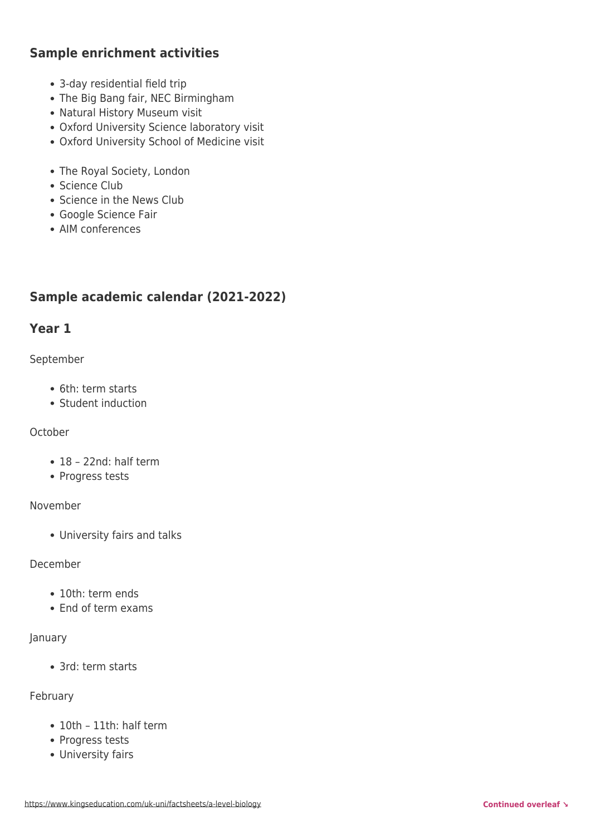## **Sample enrichment activities**

- 3-day residential field trip
- The Big Bang fair, NEC Birmingham
- Natural History Museum visit
- Oxford University Science laboratory visit
- Oxford University School of Medicine visit
- The Royal Society, London
- Science Club
- Science in the News Club
- Google Science Fair
- AIM conferences

## **Sample academic calendar (2021-2022)**

### **Year 1**

#### September

- 6th: term starts
- Student induction

#### October

- 18 22nd: half term
- Progress tests

#### November

University fairs and talks

#### December

- 10th: term ends
- End of term exams

#### January

• 3rd: term starts

#### February

- 10th 11th: half term
- Progress tests
- University fairs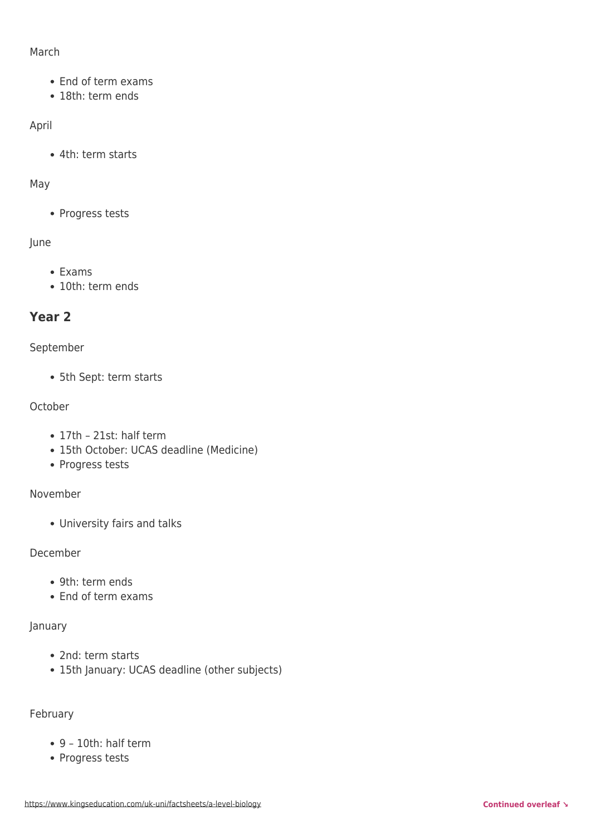#### March

- End of term exams
- 18th: term ends

#### April

4th: term starts

#### May

• Progress tests

#### June

- Exams
- 10th: term ends

## **Year 2**

#### September

5th Sept: term starts

#### October

- 17th 21st: half term
- 15th October: UCAS deadline (Medicine)
- Progress tests

#### November

University fairs and talks

#### December

- 9th: term ends
- End of term exams

#### January

- 2nd: term starts
- 15th January: UCAS deadline (other subjects)

#### February

- 9 10th: half term
- Progress tests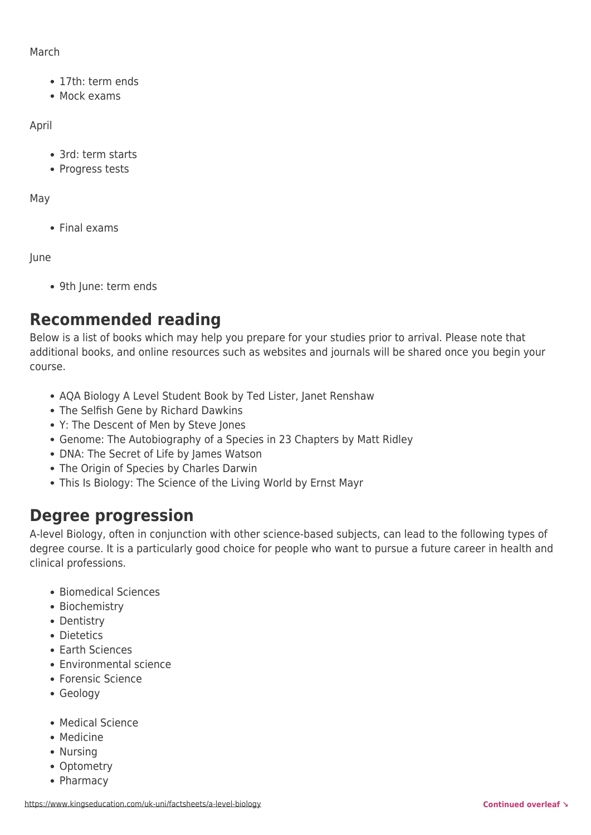#### March

- 17th: term ends
- Mock exams

#### April

- 3rd: term starts
- Progress tests

#### May

• Final exams

#### June

9th June: term ends

# **Recommended reading**

Below is a list of books which may help you prepare for your studies prior to arrival. Please note that additional books, and online resources such as websites and journals will be shared once you begin your course.

- AQA Biology A Level Student Book by Ted Lister, Janet Renshaw
- The Selfish Gene by Richard Dawkins
- Y: The Descent of Men by Steve Jones
- Genome: The Autobiography of a Species in 23 Chapters by Matt Ridley
- DNA: The Secret of Life by James Watson
- The Origin of Species by Charles Darwin
- This Is Biology: The Science of the Living World by Ernst Mayr

## **Degree progression**

A-level Biology, often in conjunction with other science-based subjects, can lead to the following types of degree course. It is a particularly good choice for people who want to pursue a future career in health and clinical professions.

- Biomedical Sciences
- Biochemistry
- Dentistry
- Dietetics
- Earth Sciences
- Environmental science
- Forensic Science
- Geology
- Medical Science
- Medicine
- Nursing
- Optometry
- Pharmacy